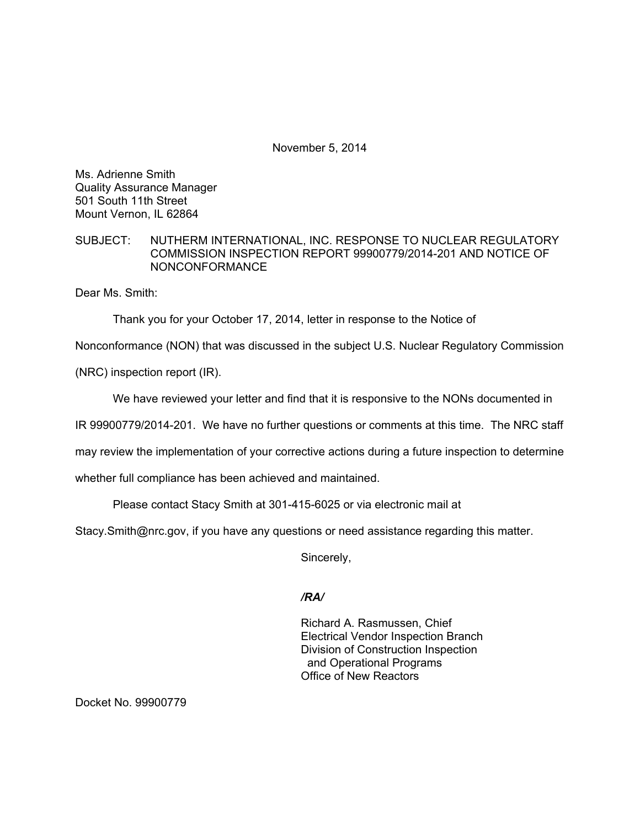November 5, 2014

Ms. Adrienne Smith Quality Assurance Manager 501 South 11th Street Mount Vernon, IL 62864

SUBJECT: NUTHERM INTERNATIONAL, INC. RESPONSE TO NUCLEAR REGULATORY COMMISSION INSPECTION REPORT 99900779/2014-201 AND NOTICE OF NONCONFORMANCE

Dear Ms. Smith:

Thank you for your October 17, 2014, letter in response to the Notice of

Nonconformance (NON) that was discussed in the subject U.S. Nuclear Regulatory Commission

(NRC) inspection report (IR).

We have reviewed your letter and find that it is responsive to the NONs documented in

IR 99900779/2014-201. We have no further questions or comments at this time. The NRC staff

may review the implementation of your corrective actions during a future inspection to determine

whether full compliance has been achieved and maintained.

Please contact Stacy Smith at 301-415-6025 or via electronic mail at

Stacy.Smith@nrc.gov, if you have any questions or need assistance regarding this matter.

Sincerely,

### */RA/*

Richard A. Rasmussen, Chief Electrical Vendor Inspection Branch Division of Construction Inspection and Operational Programs Office of New Reactors

Docket No. 99900779